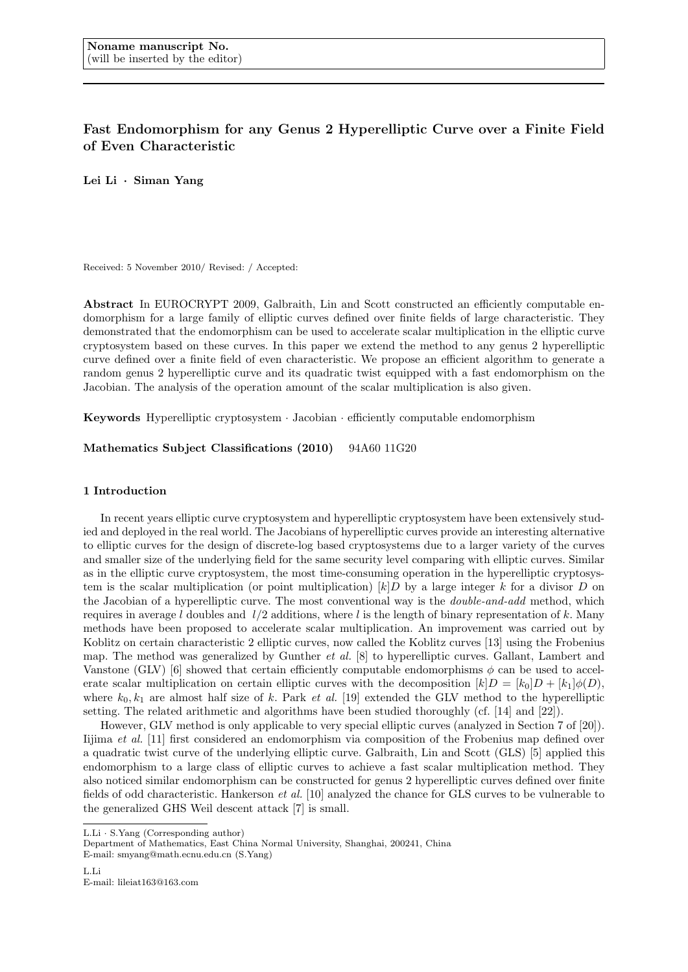# **Fast Endomorphism for any Genus 2 Hyperelliptic Curve over a Finite Field of Even Characteristic**

**Lei Li** *·* **Siman Yang**

Received: 5 November 2010/ Revised: / Accepted:

**Abstract** In EUROCRYPT 2009, Galbraith, Lin and Scott constructed an efficiently computable endomorphism for a large family of elliptic curves defined over finite fields of large characteristic. They demonstrated that the endomorphism can be used to accelerate scalar multiplication in the elliptic curve cryptosystem based on these curves. In this paper we extend the method to any genus 2 hyperelliptic curve defined over a finite field of even characteristic. We propose an efficient algorithm to generate a random genus 2 hyperelliptic curve and its quadratic twist equipped with a fast endomorphism on the Jacobian. The analysis of the operation amount of the scalar multiplication is also given.

**Keywords** Hyperelliptic cryptosystem *·* Jacobian *·* efficiently computable endomorphism

**Mathematics Subject Classifications (2010)** 94A60 11G20

#### **1 Introduction**

In recent years elliptic curve cryptosystem and hyperelliptic cryptosystem have been extensively studied and deployed in the real world. The Jacobians of hyperelliptic curves provide an interesting alternative to elliptic curves for the design of discrete-log based cryptosystems due to a larger variety of the curves and smaller size of the underlying field for the same security level comparing with elliptic curves. Similar as in the elliptic curve cryptosystem, the most time-consuming operation in the hyperelliptic cryptosystem is the scalar multiplication (or point multiplication)  $[k]D$  by a large integer *k* for a divisor *D* on the Jacobian of a hyperelliptic curve. The most conventional way is the *double-and-add* method, which requires in average *l* doubles and *l/*2 additions, where *l* is the length of binary representation of *k*. Many methods have been proposed to accelerate scalar multiplication. An improvement was carried out by Koblitz on certain characteristic 2 elliptic curves, now called the Koblitz curves [13] using the Frobenius map. The method was generalized by Gunther *et al.* [8] to hyperelliptic curves. Gallant, Lambert and Vanstone (GLV) [6] showed that certain efficiently computable endomorphisms  $\phi$  can be used to accelerate scalar multiplication on certain elliptic curves with the decomposition  $[k]D = [k_0]D + [k_1] \phi(D)$ , where  $k_0, k_1$  are almost half size of  $k$ . Park  $et$   $al$ . [19] extended the GLV method to the hyperelliptic setting. The related arithmetic and algorithms have been studied thoroughly (cf. [14] and [22]).

However, GLV method is only applicable to very special elliptic curves (analyzed in Section 7 of [20]). Iijima *et al.* [11] first considered an endomorphism via composition of the Frobenius map defined over a quadratic twist curve of the underlying elliptic curve. Galbraith, Lin and Scott (GLS) [5] applied this endomorphism to a large class of elliptic curves to achieve a fast scalar multiplication method. They also noticed similar endomorphism can be constructed for genus 2 hyperelliptic curves defined over finite fields of odd characteristic. Hankerson *et al.* [10] analyzed the chance for GLS curves to be vulnerable to the generalized GHS Weil descent attack [7] is small.

L.Li *·* S.Yang (Corresponding author)

Department of Mathematics, East China Normal University, Shanghai, 200241, China E-mail: smyang@math.ecnu.edu.cn (S.Yang)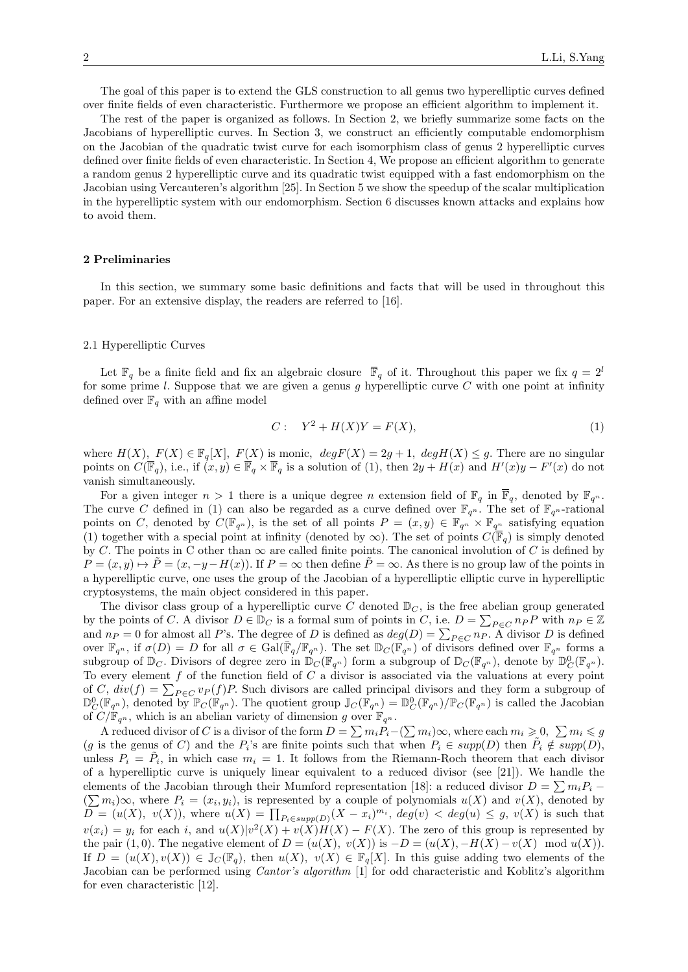The goal of this paper is to extend the GLS construction to all genus two hyperelliptic curves defined over finite fields of even characteristic. Furthermore we propose an efficient algorithm to implement it.

The rest of the paper is organized as follows. In Section 2, we briefly summarize some facts on the Jacobians of hyperelliptic curves. In Section 3, we construct an efficiently computable endomorphism on the Jacobian of the quadratic twist curve for each isomorphism class of genus 2 hyperelliptic curves defined over finite fields of even characteristic. In Section 4, We propose an efficient algorithm to generate a random genus 2 hyperelliptic curve and its quadratic twist equipped with a fast endomorphism on the Jacobian using Vercauteren's algorithm [25]. In Section 5 we show the speedup of the scalar multiplication in the hyperelliptic system with our endomorphism. Section 6 discusses known attacks and explains how to avoid them.

## **2 Preliminaries**

In this section, we summary some basic definitions and facts that will be used in throughout this paper. For an extensive display, the readers are referred to [16].

### 2.1 Hyperelliptic Curves

Let  $\mathbb{F}_q$  be a finite field and fix an algebraic closure  $\overline{\mathbb{F}}_q$  of it. Throughout this paper we fix  $q = 2^l$ for some prime *l*. Suppose that we are given a genus *g* hyperelliptic curve *C* with one point at infinity defined over  $\mathbb{F}_q$  with an affine model

$$
C: Y2 + H(X)Y = F(X),
$$
\n<sup>(1)</sup>

where  $H(X)$ ,  $F(X) \in \mathbb{F}_q[X]$ ,  $F(X)$  is monic,  $deg F(X) = 2g + 1$ ,  $deg H(X) \leq g$ . There are no singular points on  $C(\mathbb{F}_q)$ , i.e., if  $(x, y) \in \mathbb{F}_q \times \mathbb{F}_q$  is a solution of (1), then  $2y + H(x)$  and  $H'(x)y - F'(x)$  do not vanish simultaneously.

For a given integer  $n > 1$  there is a unique degree *n* extension field of  $\mathbb{F}_q$  in  $\overline{\mathbb{F}}_q$ , denoted by  $\mathbb{F}_{q^n}$ . The curve *C* defined in (1) can also be regarded as a curve defined over  $\mathbb{F}_{q^n}$ . The set of  $\mathbb{F}_{q^n}$ -rational points on *C*, denoted by  $C(\mathbb{F}_{q^n})$ , is the set of all points  $P = (x, y) \in \mathbb{F}_{q^n} \times \mathbb{F}_{q^n}$  satisfying equation (1) together with a special point at infinity (denoted by  $\infty$ ). The set of points  $C(\mathbb{F}_q)$  is simply denoted by *C*. The points in C other than  $\infty$  are called finite points. The canonical involution of *C* is defined by  $P = (x, y) \mapsto \tilde{P} = (x, -y - H(x))$ . If  $P = \infty$  then define  $\tilde{P} = \infty$ . As there is no group law of the points in a hyperelliptic curve, one uses the group of the Jacobian of a hyperelliptic elliptic curve in hyperelliptic cryptosystems, the main object considered in this paper.

The divisor class group of a hyperelliptic curve  $C$  denoted  $\mathbb{D}_C$ , is the free abelian group generated by the points of *C*. A divisor  $D \in \mathbb{D}_C$  is a formal sum of points in *C*, i.e.  $D = \sum_{P \in C} n_P P$  with  $n_P \in \mathbb{Z}$ and  $n_P = 0$  for almost all *P*'s. The degree of *D* is defined as  $deg(D) = \sum_{P \in C} n_P$ . A divisor *D* is defined over  $\mathbb{F}_{q^n}$ , if  $\sigma(D) = D$  for all  $\sigma \in \text{Gal}(\overline{\mathbb{F}}_q/\mathbb{F}_{q^n})$ . The set  $\mathbb{D}_C(\mathbb{F}_{q^n})$  of divisors defined over  $\mathbb{F}_{q^n}$  forms a subgroup of  $\mathbb{D}_C$ . Divisors of degree zero in  $\mathbb{D}_C(\mathbb{F}_{q^n})$  form a subgroup of  $\mathbb{D}_C(\mathbb{F}_{q^n})$ , denote by  $\mathbb{D}_C^0(\mathbb{F}_{q^n})$ . To every element *f* of the function field of *C* a divisor is associated via the valuations at every point of *C*,  $div(f) = \sum_{P \in C} v_P(f)P$ . Such divisors are called principal divisors and they form a subgroup of  $\mathbb{D}_{C}^{0}(\mathbb{F}_{q^n})$ , denoted by  $\mathbb{F}_{C}(\mathbb{F}_{q^n})$ . The quotient group  $\mathbb{J}_{C}(\mathbb{F}_{q^n}) = \mathbb{D}_{C}^{0}(\mathbb{F}_{q^n})/\mathbb{P}_{C}(\mathbb{F}_{q^n})$  is called the Jacobian of  $C/\mathbb{F}_{q^n}$ , which is an abelian variety of dimension *g* over  $\mathbb{F}_{q^n}$ .

A reduced divisor of *C* is a divisor of the form  $D = \sum m_i P_i - (\sum m_i) \infty$ , where each  $m_i \geq 0$ ,  $\sum m_i \leq g$  $(g \text{ is the genus of } C)$  and the  $P_i$ 's are finite points such that when  $P_i \in supp(D)$  then  $\tilde{P_i} \notin supp(D)$ , unless  $P_i = \tilde{P}_i$ , in which case  $m_i = 1$ . It follows from the Riemann-Roch theorem that each divisor of a hyperelliptic curve is uniquely linear equivalent to a reduced divisor (see [21]). We handle the elements of the Jacobian through their Mumford representation [18]: a reduced divisor  $D = \sum m_i P_i$  –  $(∑*m*<sub>i</sub>)∞, where P<sub>i</sub> = (x<sub>i</sub>, y<sub>i</sub>), is represented by a couple of polynomials  $u(X)$  and  $v(X)$ , denoted by$  $\overline{D} = (u(X), v(X)),$  where  $u(X) = \prod_{P_i \in supp(D)} (X - x_i)^{m_i}$ ,  $deg(v) < deg(u) \le g$ ,  $v(X)$  is such that  $v(x_i) = y_i$  for each i, and  $u(X)|v^2(X) + v(X)H(X) - F(X)$ . The zero of this group is represented by the pair (1,0). The negative element of  $D = (u(X), v(X))$  is  $-D = (u(X), -H(X) - v(X) \mod u(X)).$ If  $D = (u(X), v(X)) \in \mathbb{J}_C(\mathbb{F}_q)$ , then  $u(X), v(X) \in \mathbb{F}_q[X]$ . In this guise adding two elements of the Jacobian can be performed using *Cantor's algorithm* [1] for odd characteristic and Koblitz's algorithm for even characteristic [12].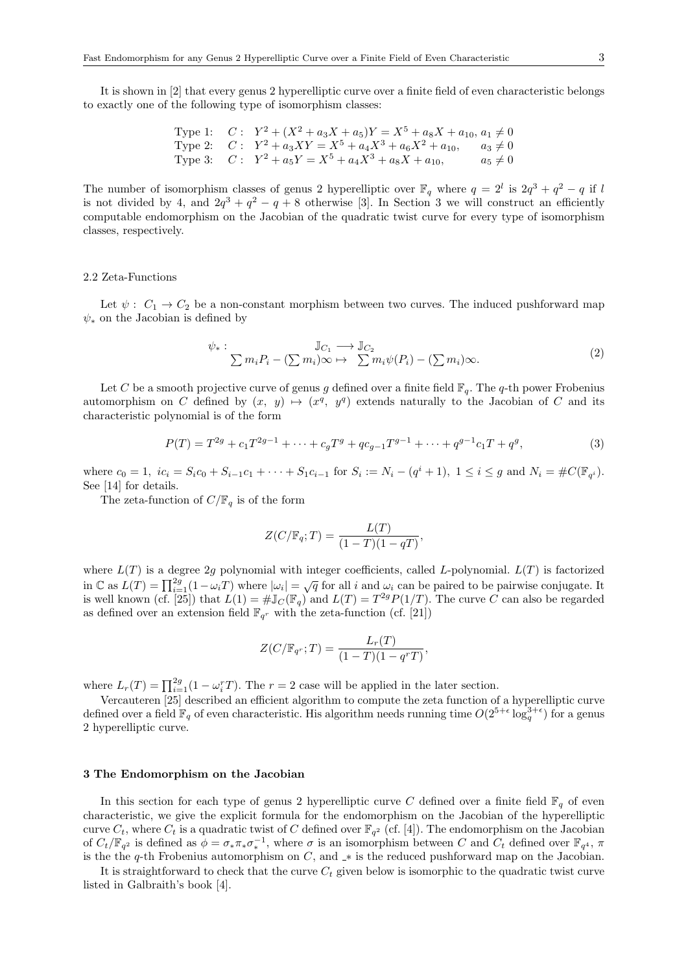It is shown in [2] that every genus 2 hyperelliptic curve over a finite field of even characteristic belongs to exactly one of the following type of isomorphism classes:

Type 1: 
$$
C: Y^2 + (X^2 + a_3X + a_5)Y = X^5 + a_8X + a_{10}, a_1 \neq 0
$$
  
Type 2:  $C: Y^2 + a_3XY = X^5 + a_4X^3 + a_6X^2 + a_{10}, a_3 \neq 0$   
Type 3:  $C: Y^2 + a_5Y = X^5 + a_4X^3 + a_8X + a_{10}, a_5 \neq 0$ 

The number of isomorphism classes of genus 2 hyperelliptic over  $\mathbb{F}_q$  where  $q = 2^l$  is  $2q^3 + q^2 - q$  if *l* is not divided by 4, and  $2q^3 + q^2 - q + 8$  otherwise [3]. In Section 3 we will construct an efficiently computable endomorphism on the Jacobian of the quadratic twist curve for every type of isomorphism classes, respectively.

#### 2.2 Zeta-Functions

Let  $\psi: C_1 \to C_2$  be a non-constant morphism between two curves. The induced pushforward map  $\psi_*$  on the Jacobian is defined by

$$
\psi_*: \qquad \mathbb{J}_{C_1} \longrightarrow \mathbb{J}_{C_2}
$$
\n
$$
\sum m_i P_i - (\sum m_i) \infty \mapsto \sum m_i \psi(P_i) - (\sum m_i) \infty. \tag{2}
$$

*,*

Let *C* be a smooth projective curve of genus *g* defined over a finite field  $\mathbb{F}_q$ . The *q*-th power Frobenius automorphism on *C* defined by  $(x, y) \mapsto (x^q, y^q)$  extends naturally to the Jacobian of *C* and its characteristic polynomial is of the form

$$
P(T) = T^{2g} + c_1 T^{2g-1} + \dots + c_g T^g + qc_{g-1} T^{g-1} + \dots + q^{g-1} c_1 T + q^g,
$$
\n(3)

where  $c_0 = 1$ ,  $ic_i = S_i c_0 + S_{i-1} c_1 + \cdots + S_1 c_{i-1}$  for  $S_i := N_i - (q^i + 1)$ ,  $1 \le i \le g$  and  $N_i = \#C(\mathbb{F}_{q^i})$ . See [14] for details.

The zeta-function of  $C/\mathbb{F}_q$  is of the form

$$
Z(C/\mathbb{F}_q;T) = \frac{L(T)}{(1-T)(1-qT)},
$$

where *L*(*T*) is a degree 2*g* polynomial with integer coefficients, called *L*-polynomial. *L*(*T*) is factorized in  $\mathbb{C}$  as  $L(T) = \prod_{i=1}^{2g} (1 - \omega_i T)$  where  $|\omega_i| = \sqrt{q}$  for all i and  $\omega_i$  can be paired to be pairwise conjugate. It is well known (cf. [25]) that  $L(1) = #\mathbb{J}_C(\mathbb{F}_q)$  and  $L(T) = T^{2g}P(1/T)$ . The curve *C* can also be regarded as defined over an extension field  $\mathbb{F}_{q^r}$  with the zeta-function (cf. [21])

$$
Z(C/\mathbb{F}_{q^r};T) = \frac{L_r(T)}{(1-T)(1-q^rT)}
$$

where  $L_r(T) = \prod_{i=1}^{2g} (1 - \omega_i^r T)$ . The  $r = 2$  case will be applied in the later section.

Vercauteren [25] described an efficient algorithm to compute the zeta function of a hyperelliptic curve defined over a field  $\mathbb{F}_q$  of even characteristic. His algorithm needs running time  $O(2^{5+\epsilon} \log_q^{3+\epsilon})$  for a genus 2 hyperelliptic curve.

# **3 The Endomorphism on the Jacobian**

In this section for each type of genus 2 hyperelliptic curve *C* defined over a finite field  $\mathbb{F}_q$  of even characteristic, we give the explicit formula for the endomorphism on the Jacobian of the hyperelliptic curve  $C_t$ , where  $C_t$  is a quadratic twist of  $C$  defined over  $\mathbb{F}_{q^2}$  (cf. [4]). The endomorphism on the Jacobian of  $C_t/\mathbb{F}_{q^2}$  is defined as  $\phi = \sigma_* \pi_* \sigma_*^{-1}$ , where  $\sigma$  is an isomorphism between C and  $C_t$  defined over  $\mathbb{F}_{q^4}$ ,  $\pi$ is the the *q*-th Frobenius automorphism on *C*, and *∗* is the reduced pushforward map on the Jacobian.

It is straightforward to check that the curve *C<sup>t</sup>* given below is isomorphic to the quadratic twist curve listed in Galbraith's book [4].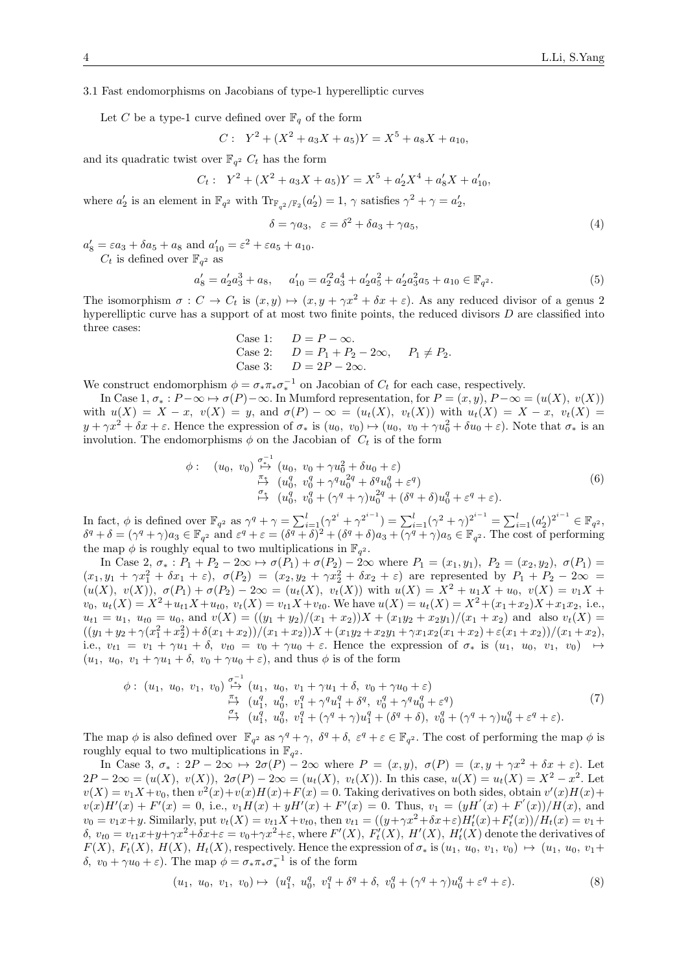#### 3.1 Fast endomorphisms on Jacobians of type-1 hyperelliptic curves

Let *C* be a type-1 curve defined over  $\mathbb{F}_q$  of the form

 $\epsilon$  :  $\epsilon$  :  $\epsilon$  :  $\epsilon$  :  $\epsilon$  :  $\epsilon$  :  $\epsilon$  :  $\epsilon$  :  $\epsilon$  :  $\epsilon$  :  $\epsilon$  :  $\epsilon$  :  $\epsilon$  :  $\epsilon$  :  $\epsilon$  :  $\epsilon$  :  $\epsilon$  :  $\epsilon$  :  $\epsilon$  :  $\epsilon$  :  $\epsilon$  :  $\epsilon$  :  $\epsilon$  :  $\epsilon$  :  $\epsilon$  :  $\epsilon$  :  $\epsilon$  :  $\epsilon$  :  $\epsilon$  :  $\epsilon$  :  $\epsilon$  :  $\epsilon$ 

$$
Y: Y^2 + (X^2 + a_3X + a_5)Y = X^5 + a_8X + a_{10},
$$

and its quadratic twist over  $\mathbb{F}_{q^2}$   $C_t$  has the form

$$
C_t: Y^2 + (X^2 + a_3X + a_5)Y = X^5 + a'_2X^4 + a'_8X + a'_{10},
$$

where  $a'_2$  is an element in  $\mathbb{F}_{q^2}$  with  $\text{Tr}_{\mathbb{F}_{q^2}/\mathbb{F}_2}(a'_2) = 1$ ,  $\gamma$  satisfies  $\gamma^2 + \gamma = a'_2$ ,

$$
\delta = \gamma a_3, \quad \varepsilon = \delta^2 + \delta a_3 + \gamma a_5,\tag{4}
$$

 $a'_8 = \varepsilon a_3 + \delta a_5 + a_8$  and  $a'_{10} = \varepsilon^2 + \varepsilon a_5 + a_{10}$ .  $C_t$  is defined over  $\mathbb{F}_{q^2}$  as

$$
a'_8 = a'_2 a_3^3 + a_8, \qquad a'_{10} = a'_2 a_3^4 + a'_2 a_5^2 + a'_2 a_3^2 a_5 + a_{10} \in \mathbb{F}_{q^2}.
$$

$$
\tag{5}
$$

The isomorphism  $\sigma : C \to C_t$  is  $(x, y) \mapsto (x, y + \gamma x^2 + \delta x + \varepsilon)$ . As any reduced divisor of a genus 2 hyperelliptic curve has a support of at most two finite points, the reduced divisors *D* are classified into three cases:

Case 1:  $D = P - \infty$ .<br>Case 2:  $D = P_1 + P_2$  $\text{Case 2:} \qquad D = P_1 + P_2 - 2\infty, \qquad P_1 \neq P_2.$ Case 3:  $D = 2P - 2\infty$ .

We construct endomorphism  $\phi = \sigma_* \pi_* \sigma_*^{-1}$  on Jacobian of  $C_t$  for each case, respectively.

In Case  $1, \sigma_* : P - \infty \mapsto \sigma(P) - \infty$ . In Mumford representation, for  $P = (x, y), P - \infty = (u(X), v(X))$ with  $u(X) = X - x$ ,  $v(X) = y$ , and  $\sigma(P) - \infty = (u_t(X), v_t(X))$  with  $u_t(X) = X - x$ ,  $v_t(X) =$  $y + \gamma x^2 + \delta x + \varepsilon$ . Hence the expression of  $\sigma_*$  is  $(u_0, v_0) \mapsto (u_0, v_0 + \gamma u_0^2 + \delta u_0 + \varepsilon)$ . Note that  $\sigma_*$  is an involution. The endomorphisms  $\phi$  on the Jacobian of  $C_t$  is of the form

$$
\phi: \quad (u_0, v_0) \stackrel{\sigma_{+}^{-1}}{\mapsto} (u_0, v_0 + \gamma u_0^2 + \delta u_0 + \varepsilon) \stackrel{\pi_{+}^{-}}{\mapsto} (u_0^q, v_0^q + \gamma^q u_0^{2q} + \delta^q u_0^q + \varepsilon^q) \stackrel{\sigma_{+}}{\mapsto} (u_0^q, v_0^q + (\gamma^q + \gamma) u_0^{2q} + (\delta^q + \delta) u_0^q + \varepsilon^q + \varepsilon).
$$
\n(6)

In fact,  $\phi$  is defined over  $\mathbb{F}_{q^2}$  as  $\gamma^q + \gamma = \sum_{i=1}^l (\gamma^{2^i} + \gamma^{2^{i-1}}) = \sum_{i=1}^l (\gamma^2 + \gamma)^{2^{i-1}} = \sum_{i=1}^l (a_2^i)^{2^{i-1}} \in \mathbb{F}_{q^2}$ ,  $\delta^q + \delta = (\gamma^q + \gamma)a_3 \in \mathbb{F}_{q^2}$  and  $\varepsilon^q + \varepsilon = (\delta^q + \delta)^2 + (\delta^q + \delta)a_3 + (\gamma^q + \gamma)a_5 \in \mathbb{F}_{q^2}$ . The cost of performing the map  $\phi$  is roughly equal to two multiplications in  $\mathbb{F}_{q^2}$ .

In Case 2,  $\sigma_* : P_1 + P_2 - 2\infty \to \sigma(P_1) + \sigma(P_2) - 2\infty$  where  $P_1 = (x_1, y_1), P_2 = (x_2, y_2), \sigma(P_1) =$  $(x_1, y_1 + \gamma x_1^2 + \delta x_1 + \varepsilon), \ \sigma(P_2) = (x_2, y_2 + \gamma x_2^2 + \delta x_2 + \varepsilon)$  are represented by  $P_1 + P_2 - 2\infty =$  $(u(X), v(X)), \sigma(P_1) + \sigma(P_2) - 2\infty = (u_t(X), v_t(X))$  with  $u(X) = X^2 + u_1X + u_0, v(X) = v_1X +$  $v_0, u_t(X) = X^2 + u_{t1}X + u_{t0}, v_t(X) = v_{t1}X + v_{t0}.$  We have  $u(X) = u_t(X) = X^2 + (x_1 + x_2)X + x_1x_2$ , i.e.,  $u_{t1} = u_1, u_{t0} = u_0$ , and  $v(X) = ((y_1 + y_2)/(x_1 + x_2))X + (x_1y_2 + x_2y_1)/(x_1 + x_2)$  and also  $v_t(X) =$  $((y_1+y_2+\gamma(x_1^2+x_2^2)+\delta(x_1+x_2))/(x_1+x_2))X+(x_1y_2+x_2y_1+\gamma x_1x_2(x_1+x_2)+\varepsilon(x_1+x_2))/(x_1+x_2),$ i.e.,  $v_{t1} = v_1 + \gamma u_1 + \delta$ ,  $v_{t0} = v_0 + \gamma u_0 + \varepsilon$ . Hence the expression of  $\sigma_*$  is  $(u_1, u_0, v_1, v_0) \rightarrow$  $(u_1, u_0, v_1 + \gamma u_1 + \delta, v_0 + \gamma u_0 + \varepsilon)$ , and thus  $\phi$  is of the form

$$
\phi: (u_1, u_0, v_1, v_0) \stackrel{\sigma_*^{-1}}{\mapsto} (u_1, u_0, v_1 + \gamma u_1 + \delta, v_0 + \gamma u_0 + \varepsilon) \stackrel{\pi_*}{\mapsto} (u_1^q, u_0^q, v_1^q + \gamma^q u_1^q + \delta^q, v_0^q + \gamma^q u_0^q + \varepsilon^q) \stackrel{\sigma_*}{\mapsto} (u_1^q, u_0^q, v_1^q + (\gamma^q + \gamma) u_1^q + (\delta^q + \delta), v_0^q + (\gamma^q + \gamma) u_0^q + \varepsilon^q + \varepsilon).
$$
\n(7)

The map  $\phi$  is also defined over  $\mathbb{F}_{q^2}$  as  $\gamma^q + \gamma$ ,  $\delta^q + \delta$ ,  $\varepsilon^q + \varepsilon \in \mathbb{F}_{q^2}$ . The cost of performing the map  $\phi$  is roughly equal to two multiplications in  $\mathbb{F}_{q^2}$ .

In Case 3,  $\sigma_*$ :  $2P - 2\infty \mapsto 2\sigma(P) - 2\infty$  where  $P = (x, y)$ ,  $\sigma(P) = (x, y + \gamma x^2 + \delta x + \varepsilon)$ . Let  $2P - 2\infty = (u(X), v(X)), 2\sigma(P) - 2\infty = (u_t(X), v_t(X)).$  In this case,  $u(X) = u_t(X) = X^2 - x^2$ . Let  $v(X) = v_1 X + v_0$ , then  $v^2(x) + v(x)H(x) + F(x) = 0$ . Taking derivatives on both sides, obtain  $v'(x)H(x) +$  $v(x)H'(x) + F'(x) = 0$ , i.e.,  $v_1H(x) + yH'(x) + F'(x) = 0$ . Thus,  $v_1 = (yH'(x) + F'(x))/H(x)$ , and  $v_0 = v_1 x + y$ . Similarly, put  $v_t(X) = v_{t1} X + v_{t0}$ , then  $v_{t1} = ((y + \gamma x^2 + \delta x + \varepsilon)H'_t(x) + F'_t(x))/H_t(x) = v_1 +$  $\delta, v_{t0} = v_{t1}x + y + \gamma x^2 + \delta x + \varepsilon = v_0 + \gamma x^2 + \varepsilon$ , where  $F'(X), F'_t(X), H'(X), H'_t(X)$  denote the derivatives of  $F(X)$ ,  $F_t(X)$ ,  $H(X)$ ,  $H_t(X)$ , respectively. Hence the expression of  $\sigma_*$  is  $(u_1, u_0, v_1, v_0) \mapsto (u_1, u_0, v_1 +$ *δ, v*<sub>0</sub> + *γu*<sub>0</sub> + *ε*). The map  $\phi = \sigma_* \pi_* \sigma_*^{-1}$  is of the form

$$
(u_1, u_0, v_1, v_0) \mapsto (u_1^q, u_0^q, v_1^q + \delta^q + \delta, v_0^q + (\gamma^q + \gamma)u_0^q + \varepsilon^q + \varepsilon). \tag{8}
$$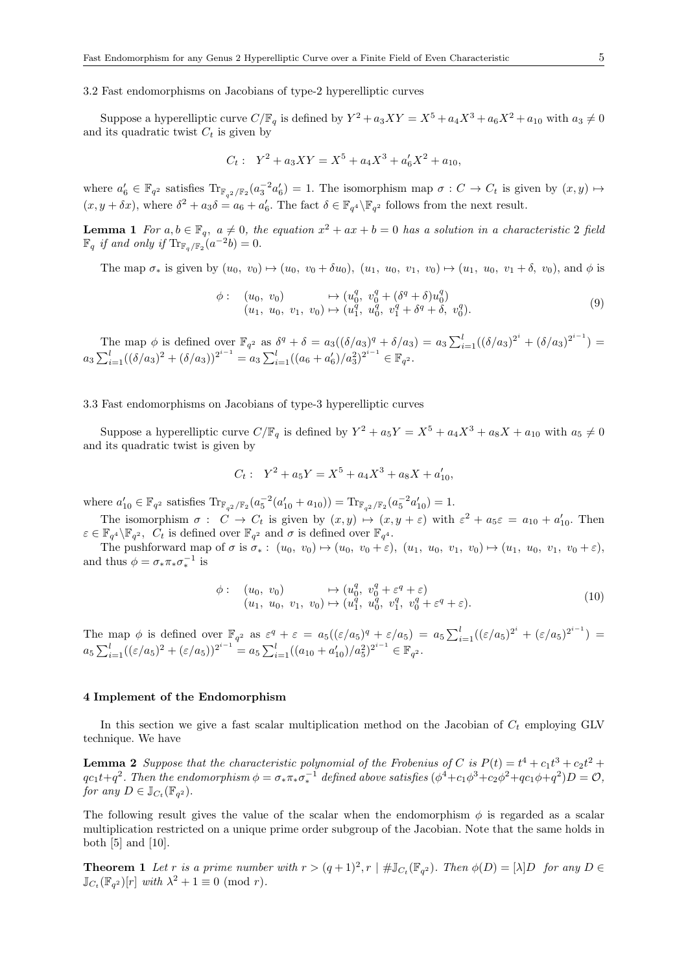## 3.2 Fast endomorphisms on Jacobians of type-2 hyperelliptic curves

Suppose a hyperelliptic curve  $C/\mathbb{F}_q$  is defined by  $Y^2 + a_3XY = X^5 + a_4X^3 + a_6X^2 + a_{10}$  with  $a_3 \neq 0$ and its quadratic twist  $C_t$  is given by

$$
C_t: Y^2 + a_3XY = X^5 + a_4X^3 + a'_6X^2 + a_{10},
$$

where  $a'_6 \in \mathbb{F}_{q^2}$  satisfies  $\text{Tr}_{\mathbb{F}_{q^2}/\mathbb{F}_2}(a_3^{-2}a'_6) = 1$ . The isomorphism map  $\sigma : C \to C_t$  is given by  $(x, y) \mapsto$  $(x, y + \delta x)$ , where  $\delta^2 + a_3 \delta = a_6 + a'_6$ . The fact  $\delta \in \mathbb{F}_{q^4} \backslash \mathbb{F}_{q^2}$  follows from the next result.

**Lemma 1** For  $a, b \in \mathbb{F}_q$ ,  $a \neq 0$ , the equation  $x^2 + ax + b = 0$  has a solution in a characteristic 2 field  $\mathbb{F}_q$  *if and only if*  $\text{Tr}_{\mathbb{F}_q/\mathbb{F}_2}(a^{-2}b) = 0.$ 

The map  $\sigma_*$  is given by  $(u_0, v_0) \mapsto (u_0, v_0 + \delta u_0)$ ,  $(u_1, u_0, v_1, v_0) \mapsto (u_1, u_0, v_1 + \delta, v_0)$ , and  $\phi$  is

$$
\begin{array}{ll}\n\phi: & (u_0, v_0) & \mapsto (u_0^q, v_0^q + (\delta^q + \delta)u_0^q) \\
(u_1, u_0, v_1, v_0) & \mapsto (u_1^q, u_0^q, v_1^q + \delta^q + \delta, v_0^q).\n\end{array} \tag{9}
$$

The map  $\phi$  is defined over  $\mathbb{F}_{q^2}$  as  $\delta^q + \delta = a_3((\delta/a_3)^q + \delta/a_3) = a_3 \sum_{i=1}^l ((\delta/a_3)^{2^i} + (\delta/a_3)^{2^{i-1}}) =$  $a_3 \sum_{i=1}^l ((\delta/a_3)^2 + (\delta/a_3))^{2^{i-1}} = a_3 \sum_{i=1}^l ((a_6 + a'_6)/a_3^2)^{2^{i-1}} \in \mathbb{F}_{q^2}$ .

# 3.3 Fast endomorphisms on Jacobians of type-3 hyperelliptic curves

Suppose a hyperelliptic curve  $C/\mathbb{F}_q$  is defined by  $Y^2 + a_5Y = X^5 + a_4X^3 + a_8X + a_{10}$  with  $a_5 \neq 0$ and its quadratic twist is given by

$$
C_t: Y^2 + a_5Y = X^5 + a_4X^3 + a_8X + a'_{10},
$$

where  $a'_{10} \in \mathbb{F}_{q^2}$  satisfies  $\text{Tr}_{\mathbb{F}_{q^2}/\mathbb{F}_2}(a_5^{-2}(a'_{10} + a_{10})) = \text{Tr}_{\mathbb{F}_{q^2}/\mathbb{F}_2}(a_5^{-2}a'_{10}) = 1$ .

The isomorphism  $\sigma : C \to C_t$  is given by  $(x, y) \mapsto (x, y + \varepsilon)$  with  $\varepsilon^2 + a_5 \varepsilon = a_{10} + a'_{10}$ . Then  $\varepsilon \in \mathbb{F}_{q^4} \backslash \mathbb{F}_{q^2}$ ,  $C_t$  is defined over  $\mathbb{F}_{q^2}$  and  $\sigma$  is defined over  $\mathbb{F}_{q^4}$ .

The pushforward map of  $\sigma$  is  $\sigma_*: (u_0, v_0) \mapsto (u_0, v_0 + \varepsilon), (u_1, u_0, v_1, v_0) \mapsto (u_1, u_0, v_1, v_0 + \varepsilon),$ and thus  $\phi = \sigma_* \pi_* \sigma_*^{-1}$  is

$$
\begin{array}{ll}\n\phi: & (u_0, v_0) & \mapsto (u_0^q, v_0^q + \varepsilon^q + \varepsilon) \\
(u_1, u_0, v_1, v_0) & \mapsto (u_1^q, u_0^q, v_1^q, v_0^q + \varepsilon^q + \varepsilon).\n\end{array} \tag{10}
$$

The map  $\phi$  is defined over  $\mathbb{F}_{q^2}$  as  $\varepsilon^q + \varepsilon = a_5((\varepsilon/a_5)^q + \varepsilon/a_5) = a_5 \sum_{i=1}^l ((\varepsilon/a_5)^{2^i} + (\varepsilon/a_5)^{2^{i-1}}) =$  $a_5 \sum_{i=1}^l ((\varepsilon/a_5)^2 + (\varepsilon/a_5))^{2^{i-1}} = a_5 \sum_{i=1}^l ((a_{10} + a'_{10})/a_5^2)^{2^{i-1}} \in \mathbb{F}_{q^2}$ .

## **4 Implement of the Endomorphism**

In this section we give a fast scalar multiplication method on the Jacobian of *C<sup>t</sup>* employing GLV technique. We have

**Lemma 2** *Suppose that the characteristic polynomial of the Frobenius of C* is  $P(t) = t^4 + c_1t^3 + c_2t^2 +$  $qc_1t+q^2$ . Then the endomorphism  $\phi = \sigma_*\pi_*\sigma_*^{-1}$  defined above satisfies  $(\phi^4+c_1\phi^3+c_2\phi^2+qc_1\phi+q^2)D = \mathcal{O}$ , *for any*  $D \in \mathbb{J}_{C_t}(\mathbb{F}_{q^2})$ *.* 

The following result gives the value of the scalar when the endomorphism  $\phi$  is regarded as a scalar multiplication restricted on a unique prime order subgroup of the Jacobian. Note that the same holds in both [5] and [10].

**Theorem 1** Let r is a prime number with  $r > (q+1)^2$ ,  $r \mid #\mathbb{J}_{C_t}(\mathbb{F}_{q^2})$ . Then  $\phi(D) = [\lambda]D$  for any  $D \in$  $\mathbb{J}_{C_t}(\mathbb{F}_{q^2})[r]$  *with*  $\lambda^2 + 1 \equiv 0 \pmod{r}$ *.*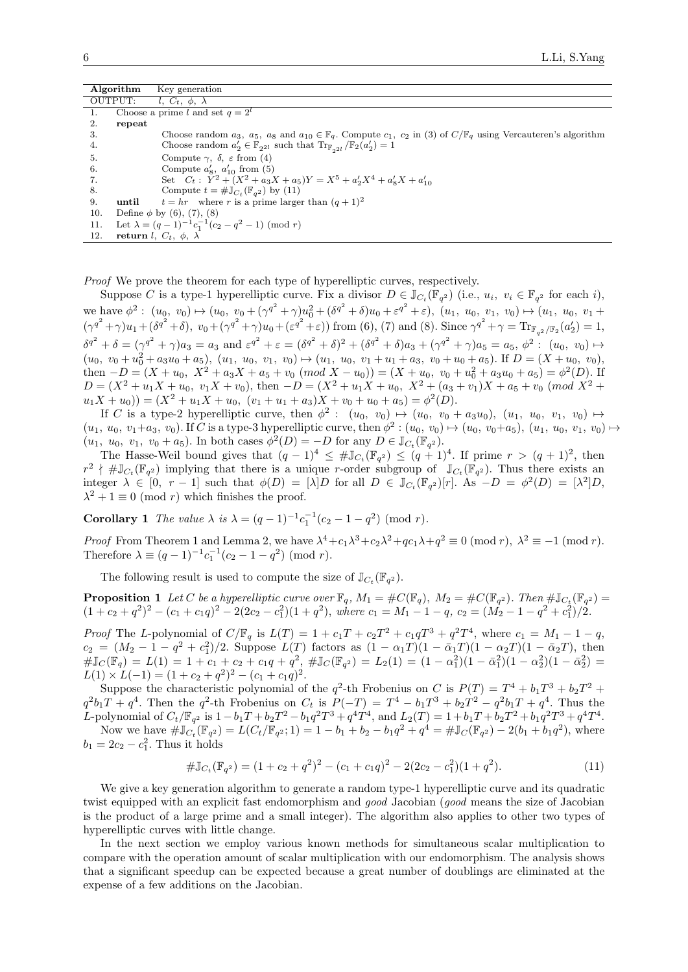| Algorithm |         | Key generation                                                                                                                                     |
|-----------|---------|----------------------------------------------------------------------------------------------------------------------------------------------------|
|           | OUTPUT: | l, $C_t$ , $\phi$ , $\lambda$                                                                                                                      |
| 1.        |         | Choose a prime $\overline{l}$ and set $q = 2^l$                                                                                                    |
| 2.        | repeat  |                                                                                                                                                    |
| 3.        |         | Choose random $a_3$ , $a_5$ , $a_8$ and $a_{10} \in \mathbb{F}_q$ . Compute $c_1$ , $c_2$ in (3) of $C/\mathbb{F}_q$ using Vercauteren's algorithm |
| 4.        |         | Choose random $a'_2 \in \mathbb{F}_{2^{2l}}$ such that $\text{Tr}_{\mathbb{F}_{2l}}/\mathbb{F}_2(a'_2) = 1$                                        |
| 5.        |         | Compute $\gamma$ , $\delta$ , $\varepsilon$ from (4)                                                                                               |
| 6.        |         | Compute $a'_8$ , $a'_{10}$ from (5)                                                                                                                |
| 7.        |         | Set $C_t$ : $\check{Y}^2 + (X^2 + a_3X + a_5)Y = X^5 + a'_2X^4 + a'_8X + a'_{10}$                                                                  |
| 8.        |         | Compute $t = #\mathbb{J}_{C_t}(\mathbb{F}_{q^2})$ by (11)                                                                                          |
| 9.        | until   | $t = hr$ where r is a prime larger than $(q + 1)^2$                                                                                                |
| 10.       |         | Define $\phi$ by (6), (7), (8)                                                                                                                     |
| 11.       |         | Let $\lambda = (q-1)^{-1}c_1^{-1}(c_2 - q^2 - 1)$ (mod r)                                                                                          |
| 12.       |         | return <i>l</i> , $C_t$ , $\phi$ , $\lambda$                                                                                                       |

*Proof* We prove the theorem for each type of hyperelliptic curves, respectively.

Suppose *C* is a type-1 hyperelliptic curve. Fix a divisor  $D \in \mathbb{J}_{C_t}(\mathbb{F}_{q^2})$  (i.e.,  $u_i, v_i \in \mathbb{F}_{q^2}$  for each *i*), we have  $\phi^2$ :  $(u_0, v_0) \mapsto (u_0, v_0 + (\gamma^{q^2} + \gamma)u_0^2 + (\delta^{q^2} + \delta)u_0 + \epsilon^{q^2} + \epsilon), (u_1, u_0, v_1, v_0) \mapsto (u_1, u_0, v_1 + \epsilon^{q^2} + \epsilon)$  $(\gamma^{q^2} + \gamma)u_1 + (\delta^{q^2} + \delta), v_0 + (\gamma^{q^2} + \gamma)u_0 + (\varepsilon^{q^2} + \varepsilon))$  from (6), (7) and (8). Since  $\gamma^{q^2} + \gamma = \text{Tr}_{\mathbb{F}_{q^2}/\mathbb{F}_2}(a'_2) = 1$ ,  $\delta^{q^2} + \delta = (\gamma^{q^2} + \gamma)a_3 = a_3$  and  $\varepsilon^{q^2} + \varepsilon = (\delta^{q^2} + \delta)^2 + (\delta^{q^2} + \delta)a_3 + (\gamma^{q^2} + \gamma)a_5 = a_5$ ,  $\phi^2 : (u_0, v_0) \mapsto$  $(u_0, v_0 + u_0^2 + a_3u_0 + a_5), (u_1, u_0, v_1, v_0) \mapsto (u_1, u_0, v_1 + u_1 + a_3, v_0 + u_0 + a_5).$  If  $D = (X + u_0, v_0),$ then  $-D = (X + u_0, X^2 + a_3X + a_5 + v_0 \pmod{X - u_0} = (X + u_0, v_0 + u_0^2 + a_3u_0 + a_5) = \phi^2(D)$ .  $D = (X^2 + u_1X + u_0, v_1X + v_0)$ , then  $-D = (X^2 + u_1X + u_0, X^2 + (a_3 + v_1)X + a_5 + v_0 \pmod{X^2}$  $u_1X + u_0$ )) =  $(X^2 + u_1X + u_0, (v_1 + u_1 + a_3)X + v_0 + u_0 + a_5) = \phi^2(D)$ .

If *C* is a type-2 hyperelliptic curve, then  $\phi^2$ :  $(u_0, v_0) \mapsto (u_0, v_0 + a_3 u_0), (u_1, u_0, v_1, v_0) \mapsto$  $(u_1, u_0, v_1+a_3, v_0)$ . If C is a type-3 hyperelliptic curve, then  $\phi^2$ :  $(u_0, v_0) \mapsto (u_0, v_0+a_5), (u_1, u_0, v_1, v_0) \mapsto$  $(u_1, u_0, v_1, v_0 + a_5)$ . In both cases  $\phi^2(D) = -D$  for any  $D \in \mathbb{J}_{C_t}(\mathbb{F}_{q^2})$ .

The Hasse-Weil bound gives that  $(q-1)^4 \leq #\mathbb{J}_{C_t}(\mathbb{F}_{q^2}) \leq (q+1)^4$ . If prime  $r > (q+1)^2$ , then  $r^2 \nmid #\mathbb{J}_{C_t}(\mathbb{F}_{q^2})$  implying that there is a unique *r*-order subgroup of  $\mathbb{J}_{C_t}(\mathbb{F}_{q^2})$ . Thus there exists an integer  $\lambda \in [0, r-1]$  such that  $\phi(D) = [\lambda]D$  for all  $D \in \mathbb{J}_{C_t}(\mathbb{F}_{q^2})[r]$ . As  $-D = \phi^2(D) = [\lambda^2]D$ ,  $\lambda^2 + 1 \equiv 0 \pmod{r}$  which finishes the proof.

**Corollary 1** *The value*  $\lambda$  *is*  $\lambda = (q-1)^{-1}c_1^{-1}(c_2 - 1 - q^2)$  (mod *r*).

*Proof* From Theorem 1 and Lemma 2, we have  $\lambda^4 + c_1 \lambda^3 + c_2 \lambda^2 + qc_1 \lambda + q^2 \equiv 0 \pmod{r}$ ,  $\lambda^2 \equiv -1 \pmod{r}$ . Therefore  $\lambda \equiv (q-1)^{-1}c_1^{-1}(c_2 - 1 - q^2)$  (mod *r*).

The following result is used to compute the size of  $\mathbb{J}_{C_t}(\mathbb{F}_{q^2})$ .

**Proposition 1** Let C be a hyperelliptic curve over  $\mathbb{F}_q$ *,*  $M_1 = \#C(\mathbb{F}_q)$ *,*  $M_2 = \#C(\mathbb{F}_{q^2})$ *. Then*  $\# \mathbb{J}_{C_t}(\mathbb{F}_{q^2}) =$  $(1 + c_2 + q^2)^2 - (c_1 + c_1q)^2 - 2(2c_2 - c_1^2)(1 + q^2)$ , where  $c_1 = M_1 - 1 - q$ ,  $c_2 = (M_2 - 1 - q^2 + c_1^2)/2$ .

*Proof* The L-polynomial of  $C/\mathbb{F}_q$  is  $L(T) = 1 + c_1T + c_2T^2 + c_1qT^3 + q^2T^4$ , where  $c_1 = M_1 - 1 - q$ ,  $c_2 = (M_2 - 1 - q^2 + c_1^2)/2$ . Suppose  $L(T)$  factors as  $(1 - \alpha_1 T)(1 - \bar{\alpha}_1 T)(1 - \alpha_2 T)(1 - \bar{\alpha}_2 T)$ , then  $\# \mathbb{J}_C(\mathbb{F}_q) = L(1) = 1 + c_1 + c_2 + c_1 q + q^2, \# \mathbb{J}_C(\mathbb{F}_{q^2}) = L_2(1) = (1 - \alpha_1^2)(1 - \bar{\alpha}_1^2)(1 - \alpha_2^2)(1 - \bar{\alpha}_2^2) =$  $L(1) \times L(-1) = (1 + c_2 + q^2)^2 - (c_1 + c_1q)^2$ .

Suppose the characteristic polynomial of the  $q^2$ -th Frobenius on *C* is  $P(T) = T^4 + b_1 T^3 + b_2 T^2 +$  $q^2b_1T + q^4$ . Then the  $q^2$ -th Frobenius on  $C_t$  is  $P(-T) = T^4 - b_1T^3 + b_2T^2 - q^2b_1T + q^4$ . Thus the L-polynomial of  $C_t/\mathbb{F}_{q^2}$  is  $1 - b_1T + b_2T^2 - b_1q^2T^3 + q^4T^4$ , and  $L_2(T) = 1 + b_1T + b_2T^2 + b_1q^2T^3 + q^4T^4$ . Now we have  $\#\mathbb{J}_{C_t}(\mathbb{F}_{q^2}) = L(C_t/\mathbb{F}_{q^2}; 1) = 1 - b_1 + b_2 - b_1 q^2 + q^4 = \#\mathbb{J}_{C}(\mathbb{F}_{q^2}) - 2(b_1 + b_1 q^2)$ , where  $b_1 = 2c_2 - c_1^2$ . Thus it holds

$$
\# \mathbb{J}_{C_t}(\mathbb{F}_{q^2}) = (1 + c_2 + q^2)^2 - (c_1 + c_1 q)^2 - 2(2c_2 - c_1^2)(1 + q^2). \tag{11}
$$

We give a key generation algorithm to generate a random type-1 hyperelliptic curve and its quadratic twist equipped with an explicit fast endomorphism and *good* Jacobian (*good* means the size of Jacobian is the product of a large prime and a small integer). The algorithm also applies to other two types of hyperelliptic curves with little change.

In the next section we employ various known methods for simultaneous scalar multiplication to compare with the operation amount of scalar multiplication with our endomorphism. The analysis shows that a significant speedup can be expected because a great number of doublings are eliminated at the expense of a few additions on the Jacobian.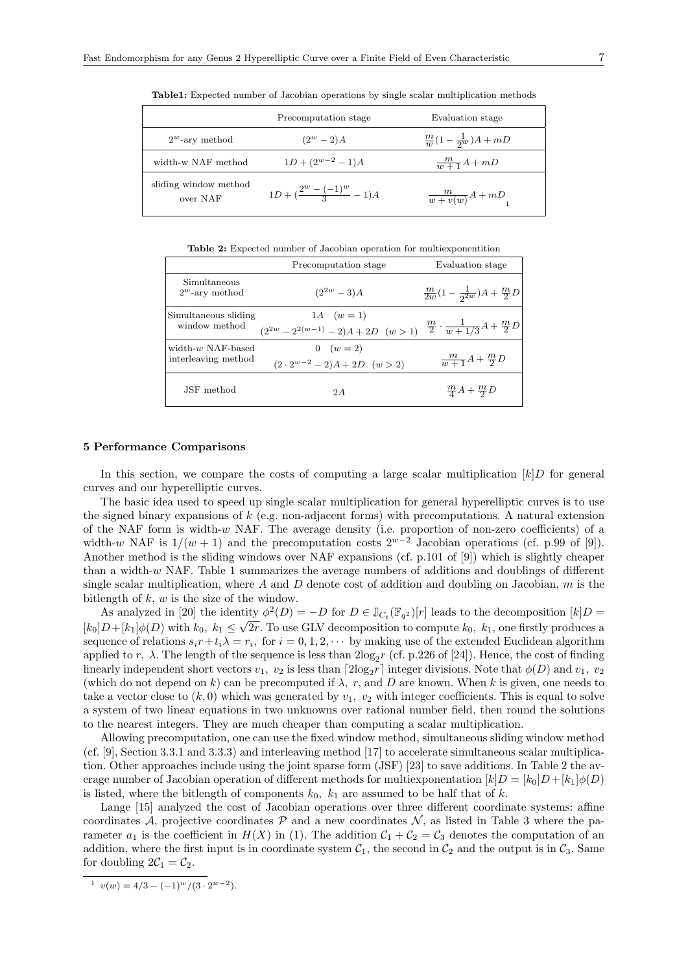|                                   | Precomputation stage                 | Evaluation stage                     |
|-----------------------------------|--------------------------------------|--------------------------------------|
| $2^w$ -ary method                 | $(2^w - 2)A$                         | $\frac{m}{w}(1-\frac{1}{2^w})A + mD$ |
| width-w NAF method                | $1D + (2^{w-2} - 1)A$                | $\frac{m}{w+1}A + mD$                |
| sliding window method<br>over NAF | $1D + (\frac{2^w - (-1)^w}{3} - 1)A$ | $\frac{m}{w+v(w)}A+mD$               |

**Table1:** Expected number of Jacobian operations by single scalar multiplication methods

**Table 2:** Expected number of Jacobian operation for multiexponentition

|                                             | Precomputation stage                                            | Evaluation stage                                    |
|---------------------------------------------|-----------------------------------------------------------------|-----------------------------------------------------|
| Simultaneous<br>$2^w$ -ary method           | $(2^{2w}-3)A$                                                   | $\frac{m}{2w}(1-\frac{1}{2^{2w}})A+\frac{m}{2}D$    |
| Simultaneous sliding<br>window method       | 1A $(w = 1)$<br>$(2^{2w} - 2^{2(w-1)} - 2)A + 2D \quad (w > 1)$ | $\frac{m}{2} \cdot \frac{1}{w+1/3}A + \frac{m}{2}D$ |
| width- $w$ NAF-based<br>interleaving method | $0 (w = 2)$<br>$(2 \cdot 2^{w-2} - 2)A + 2D \quad (w > 2)$      | $\frac{m}{w+1}A + \frac{m}{2}D$                     |
| JSF method                                  | 2A                                                              | $\frac{m}{4}A + \frac{m}{2}D$                       |

## **5 Performance Comparisons**

In this section, we compare the costs of computing a large scalar multiplication  $[k]$ *D* for general curves and our hyperelliptic curves.

The basic idea used to speed up single scalar multiplication for general hyperelliptic curves is to use the signed binary expansions of *k* (e.g. non-adjacent forms) with precomputations. A natural extension of the NAF form is width-*w* NAF. The average density (i.e. proportion of non-zero coefficients) of a width-*w* NAF is  $1/(w + 1)$  and the precomputation costs  $2^{w-2}$  Jacobian operations (cf. p.99 of [9]). Another method is the sliding windows over NAF expansions (cf. p.101 of [9]) which is slightly cheaper than a width-*w* NAF. Table 1 summarizes the average numbers of additions and doublings of different single scalar multiplication, where *A* and *D* denote cost of addition and doubling on Jacobian, *m* is the bitlength of *k*, *w* is the size of the window.

As analyzed in [20] the identity  $\phi^2(D) = -D$  for  $D \in \mathbb{J}_{C_t}(\mathbb{F}_{q^2})[r]$  leads to the decomposition  $[k]D =$  $[k_0]D+[k_1]\phi(D)$  with  $k_0, k_1 \leq \sqrt{2r}$ . To use GLV decomposition to compute  $k_0, k_1$ , one firstly produces a sequence of relations  $s_i r + t_i \lambda = r_i$ , for  $i = 0, 1, 2, \cdots$  by making use of the extended Euclidean algorithm applied to *r*,  $\lambda$ . The length of the sequence is less than  $2\log_2 r$  (cf. p.226 of [24]). Hence, the cost of finding linearly independent short vectors  $v_1$ ,  $v_2$  is less than  $\lceil 2\log_2 r \rceil$  integer divisions. Note that  $\phi(D)$  and  $v_1$ ,  $v_2$ (which do not depend on *k*) can be precomputed if *λ, r,* and *D* are known. When *k* is given, one needs to take a vector close to  $(k, 0)$  which was generated by  $v_1$ ,  $v_2$  with integer coefficients. This is equal to solve a system of two linear equations in two unknowns over rational number field, then round the solutions to the nearest integers. They are much cheaper than computing a scalar multiplication.

Allowing precomputation, one can use the fixed window method, simultaneous sliding window method (cf. [9], Section 3.3.1 and 3.3.3) and interleaving method [17] to accelerate simultaneous scalar multiplication. Other approaches include using the joint sparse form (JSF) [23] to save additions. In Table 2 the average number of Jacobian operation of different methods for multiexponentation  $[k]D = [k_0]D + [k_1] \phi(D)$ is listed, where the bitlength of components  $k_0$ ,  $k_1$  are assumed to be half that of  $k$ .

Lange [15] analyzed the cost of Jacobian operations over three different coordinate systems: affine coordinates *A*, projective coordinates  $P$  and a new coordinates  $N$ , as listed in Table 3 where the parameter  $a_1$  is the coefficient in  $H(X)$  in (1). The addition  $C_1 + C_2 = C_3$  denotes the computation of an addition, where the first input is in coordinate system  $C_1$ , the second in  $C_2$  and the output is in  $C_3$ . Same for doubling  $2\mathcal{C}_1 = \mathcal{C}_2$ .

 $v(w) = 4/3 - (-1)^w/(3 \cdot 2^{w-2}).$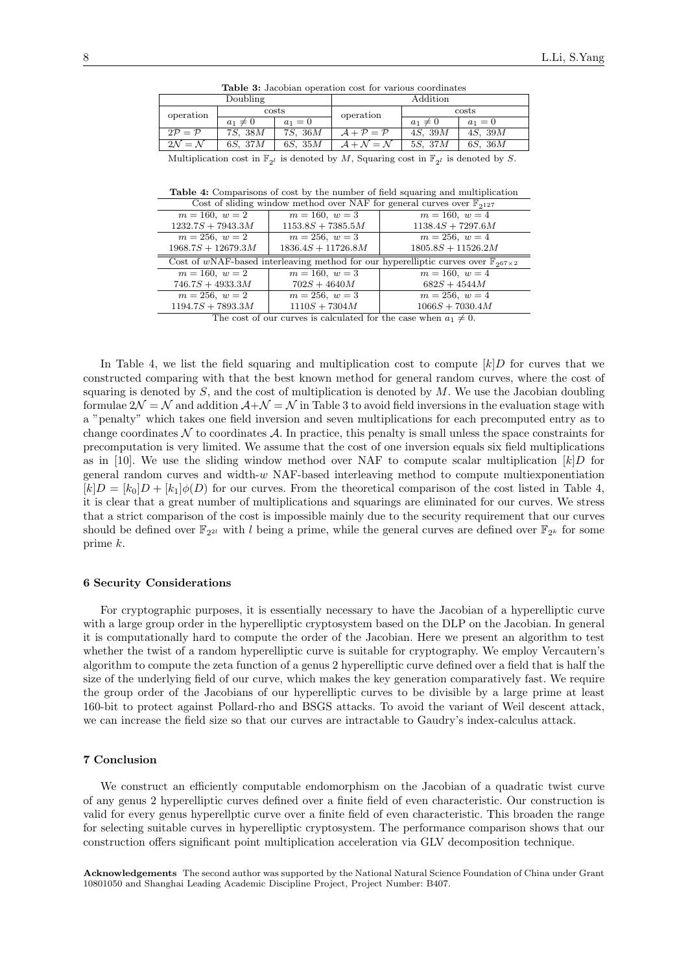| Lable Of Gaobami operation copy for through coordinated                                                       |                          |                          |             |                    |                    |
|---------------------------------------------------------------------------------------------------------------|--------------------------|--------------------------|-------------|--------------------|--------------------|
|                                                                                                               | Doubling                 |                          | Addition    |                    |                    |
| operation                                                                                                     | costs                    |                          | operation   | costs              |                    |
|                                                                                                               | $a_1\neq 0$              | $a_1 = 0$                |             | $a_1 \neq 0$       | $a_1 = 0$          |
| $2P = P$                                                                                                      | 7 <i>S</i> , 38 <i>M</i> | 7 <i>S</i> , 36 <i>M</i> | $A + P = P$ | 4 <i>S</i> , $39M$ | 4 <i>S</i> , $39M$ |
| $2\mathcal{N}=\mathcal{N}$                                                                                    | 6S,~37M                  | $6S$ , $35M$             | $A+N=N$     | $5S$ , $37M$       | $6S$ , $36M$       |
| Multiplication cost in $\mathbb{F}_{2l}$ is denoted by M, Squaring cost in $\mathbb{F}_{2l}$ is denoted by S. |                          |                          |             |                    |                    |

**Table 3:** Jacobian operation cost for various coordinates

**Table 4:** Comparisons of cost by the number of field squaring and multiplication

| Cost of sliding window method over NAF for general curves over $\mathbb{F}_{2127}$                 |                      |                      |  |  |  |  |
|----------------------------------------------------------------------------------------------------|----------------------|----------------------|--|--|--|--|
| $m = 160, w = 2$                                                                                   | $m = 160, w = 3$     | $m = 160, w = 4$     |  |  |  |  |
| $1232.7S + 7943.3M$                                                                                | $1153.8S + 7385.5M$  | $1138.4S + 7297.6M$  |  |  |  |  |
| $m = 256, w = 2$                                                                                   | $m = 256, w = 3$     | $m = 256, w = 4$     |  |  |  |  |
| $1968.7S + 12679.3M$                                                                               | $1836.4S + 11726.8M$ | $1805.8S + 11526.2M$ |  |  |  |  |
| Cost of wNAF-based interleaving method for our hyperelliptic curves over $\mathbb{F}_{267\times2}$ |                      |                      |  |  |  |  |
| $m = 160, w = 2$                                                                                   | $m = 160, w = 3$     | $m = 160, w = 4$     |  |  |  |  |
| $746.7S + 4933.3M$                                                                                 | $702S + 4640M$       | $682S + 4544M$       |  |  |  |  |
|                                                                                                    |                      |                      |  |  |  |  |
| $m = 256, w = 2$                                                                                   | $m = 256, w = 3$     | $m = 256, w = 4$     |  |  |  |  |
| $1194.7S + 7893.3M$                                                                                | $1110S + 7304M$      | $1066S + 7030.4M$    |  |  |  |  |

The cost of our curves is calculated for the case when  $a_1 \neq 0$ .

In Table 4, we list the field squaring and multiplication cost to compute  $[k]$ *D* for curves that we constructed comparing with that the best known method for general random curves, where the cost of squaring is denoted by *S*, and the cost of multiplication is denoted by *M*. We use the Jacobian doubling formulae  $2\mathcal{N} = \mathcal{N}$  and addition  $\mathcal{A} + \mathcal{N} = \mathcal{N}$  in Table 3 to avoid field inversions in the evaluation stage with a "penalty" which takes one field inversion and seven multiplications for each precomputed entry as to change coordinates  $\mathcal N$  to coordinates  $\mathcal A$ . In practice, this penalty is small unless the space constraints for precomputation is very limited. We assume that the cost of one inversion equals six field multiplications as in [10]. We use the sliding window method over NAF to compute scalar multiplication  $[k]$ *D* for general random curves and width-*w* NAF-based interleaving method to compute multiexponentiation  $[k]D = [k_0]D + [k_1] \phi(D)$  for our curves. From the theoretical comparison of the cost listed in Table 4, it is clear that a great number of multiplications and squarings are eliminated for our curves. We stress that a strict comparison of the cost is impossible mainly due to the security requirement that our curves should be defined over  $\mathbb{F}_{2^{2l}}$  with *l* being a prime, while the general curves are defined over  $\mathbb{F}_{2^k}$  for some prime *k*.

#### **6 Security Considerations**

For cryptographic purposes, it is essentially necessary to have the Jacobian of a hyperelliptic curve with a large group order in the hyperelliptic cryptosystem based on the DLP on the Jacobian. In general it is computationally hard to compute the order of the Jacobian. Here we present an algorithm to test whether the twist of a random hyperelliptic curve is suitable for cryptography. We employ Vercautern's algorithm to compute the zeta function of a genus 2 hyperelliptic curve defined over a field that is half the size of the underlying field of our curve, which makes the key generation comparatively fast. We require the group order of the Jacobians of our hyperelliptic curves to be divisible by a large prime at least 160-bit to protect against Pollard-rho and BSGS attacks. To avoid the variant of Weil descent attack, we can increase the field size so that our curves are intractable to Gaudry's index-calculus attack.

#### **7 Conclusion**

We construct an efficiently computable endomorphism on the Jacobian of a quadratic twist curve of any genus 2 hyperelliptic curves defined over a finite field of even characteristic. Our construction is valid for every genus hyperellptic curve over a finite field of even characteristic. This broaden the range for selecting suitable curves in hyperelliptic cryptosystem. The performance comparison shows that our construction offers significant point multiplication acceleration via GLV decomposition technique.

**Acknowledgements** The second author was supported by the National Natural Science Foundation of China under Grant 10801050 and Shanghai Leading Academic Discipline Project, Project Number: B407.